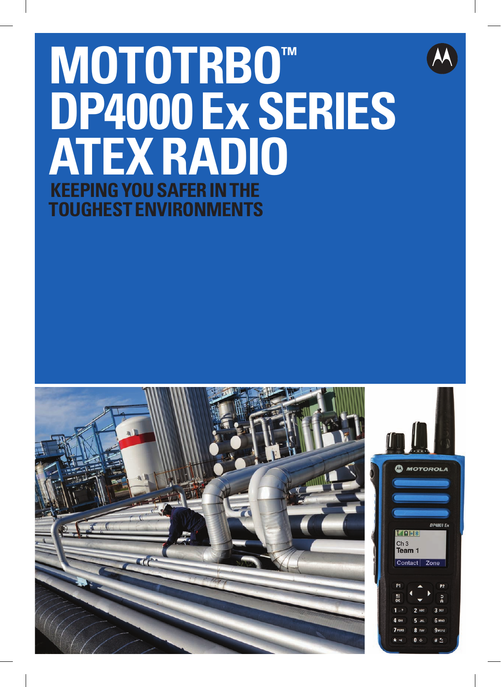# **MOTOTRBOT** DP4000 Ex SERIES **ATEX RADIO KEEPING YOU SAFER IN TOUGHEST ENVIRONMENTS**

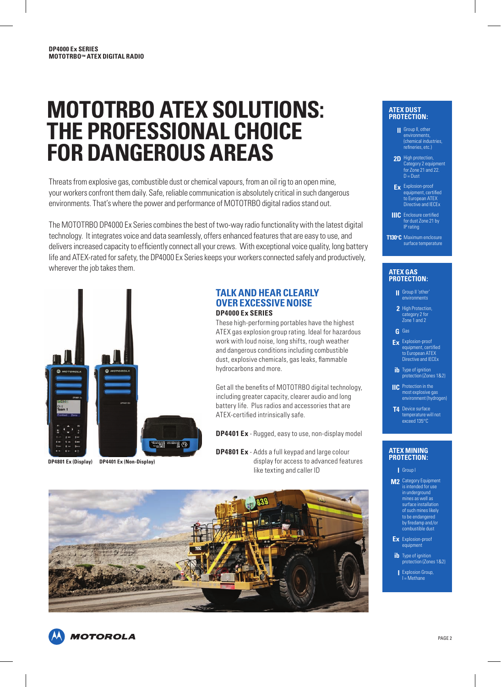# **mototrbo AtEX SolutIonS: thE ProfESSIonAl ChoICE for DAngErouS ArEAS**

Threats from explosive gas, combustible dust or chemical vapours, from an oil rig to an open mine, your workers confront them daily. Safe, reliable communication is absolutely critical in such dangerous environments. That's where the power and performance of MOTOTRBO digital radios stand out.

The MOTOTRBO DP4000 Ex Series combines the best of two-way radio functionality with the latest digital technology. It integrates voice and data seamlessly, offers enhanced features that are easy to use, and delivers increased capacity to efficiently connect all your crews. With exceptional voice quality, long battery life and ATEX-rated for safety, the DP4000 Ex Series keeps your workers connected safely and productively, wherever the job takes them.



**DP4801 Ex (Display) DP4401 Ex (non-Display)**

# **tAlK AnD hEAr ClEArly ovEr EXCESSIvE noISE DP4000 Ex SErIES**

These high-performing portables have the highest ATEX gas explosion group rating. Ideal for hazardous work with loud noise, long shifts, rough weather and dangerous conditions including combustible dust, explosive chemicals, gas leaks, flammable hydrocarbons and more.

Get all the benefits of MOTOTRBO digital technology, including greater capacity, clearer audio and long battery life. Plus radios and accessories that are ATEX-certified intrinsically safe.

**DP4401 Ex** - Rugged, easy to use, non-display model

**DP4801 Ex** - Adds a full keypad and large colour display for access to advanced features like texting and caller ID



#### **atex dust protection:**

- Group II, other **II** environments, (chemical industries, refineries, etc.)
- High protection, **2D** Category 2 equipment for Zone 21 and 22. D = Dust
- Explosion-proof **Ex** equipment, certified to European ATEX Directive and IECEx
- **IIIC** Enclosure certified for dust Zone 21 by IP rating
- **t130°C** Maximum enclosure surface temperature

#### **atex gas protection:**

- Group II 'other' **II** environments
- 2 High Protection, category 2 for Zone 1 and 2
- Gas **g**
- Explosion-proof **Ex** equipment, certified to European ATEX Directive and IECEx
- **ib** Type of ignition<br>protection (Zones 1&2)
- Protection in the most explosive gas **IIC** environment (hydrogen)
- **T4** Device surface temperature will not exceed 135°C

#### **atex mining protection:**

- Group I **I**
- **M2** Category Equipment is intended for use in underground mines as well as surface installation of such mines likely to be endangered by firedamp and/or combustible dust
- Ex Explosion-proof equipment
- ib Type of ignition protection (Zones 1&2)
	- Explosion Group, I = Methane **I**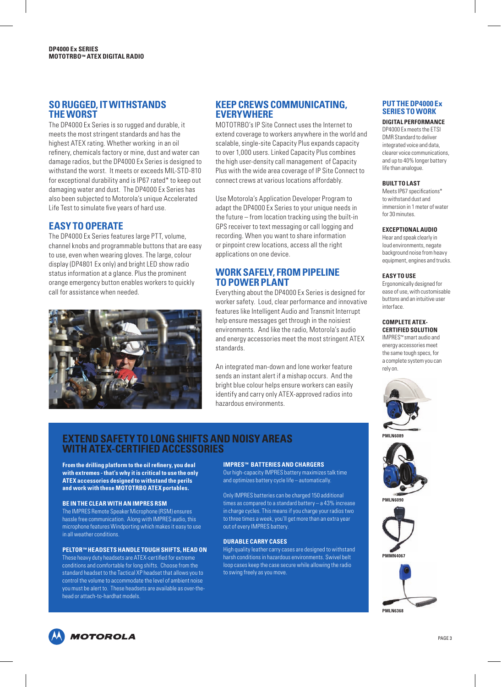### **So ruggED, It WIthStAnDS thE WorSt**

The DP4000 Ex Series is so rugged and durable, it meets the most stringent standards and has the highest ATEX rating. Whether working in an oil refinery, chemicals factory or mine, dust and water can damage radios, but the DP4000 Ex Series is designed to withstand the worst. It meets or exceeds MIL-STD-810 for exceptional durability and is IP67 rated\* to keep out damaging water and dust. The DP4000 Ex Series has also been subjected to Motorola's unique Accelerated Life Test to simulate five years of hard use.

# **EASy to oPErAtE**

The DP4000 Ex Series features large PTT, volume, channel knobs and programmable buttons that are easy to use, even when wearing gloves. The large, colour display (DP4801 Ex only) and bright LED show radio status information at a glance. Plus the prominent orange emergency button enables workers to quickly call for assistance when needed.



# **KEEP CrEWS CommunICAtIng, EvEryWhErE**

MOTOTRBO's IP Site Connect uses the Internet to extend coverage to workers anywhere in the world and scalable, single-site Capacity Plus expands capacity to over 1,000 users. Linked Capacity Plus combines the high user-density call management of Capacity Plus with the wide area coverage of IP Site Connect to connect crews at various locations affordably.

Use Motorola's Application Developer Program to adapt the DP4000 Ex Series to your unique needs in the future – from location tracking using the built-in GPS receiver to text messaging or call logging and recording. When you want to share information or pinpoint crew locations, access all the right applications on one device.

# **WorK SAfEly, from PIPElInE to PoWEr PlAnt**

Everything about the DP4000 Ex Series is designed for worker safety. Loud, clear performance and innovative features like Intelligent Audio and Transmit Interrupt help ensure messages get through in the noisiest environments. And like the radio, Motorola's audio and energy accessories meet the most stringent ATEX standards.

An integrated man-down and lone worker feature sends an instant alert if a mishap occurs. And the bright blue colour helps ensure workers can easily identify and carry only ATEX-approved radios into hazardous environments.

#### **Put thE DP4000 Ex SErIES to WorK**

#### **DIgItAl PErformAnCE**

DP4000 Ex meets the ETSI DMR Standard to deliver integrated voice and data, clearer voice communications, and up to 40% longer battery life than analogue.

#### **buIlt to lASt**

Meets IP67 specifications\* to withstand dust and immersion in 1 meter of water for 30 minutes.

#### **EXCEPtIonAl AuDIo**

Hear and speak clearly in loud environments, negate background noise from heavy equipment, engines and trucks.

#### **EASy to uSE**

Ergonomically designed for ease of use, with customisable buttons and an intuitive user interface.

#### **ComPlEtE AtEX-CErtIfIED SolutIon**

IMPRES™ smart audio and energy accessories meet the same tough specs, for a complete system you can rely on.



**Pmln6089**



**MI NGO<sub>9</sub>** 





# **EXtEnD SAfEty to long ShIftS AnD noISy ArEAS WIth AtEX-CErtIfIED ACCESSorIES**

**from the drilling platform to the oil refinery, you deal with extremes - that's why it is critical to use the only AtEX accessories designed to withstand the perils**  and work with these MOTOTRBO ATEX portables.

#### **bE In thE ClEAr WIth An ImPrES rSm**

The IMPRES Remote Speaker Microphone (RSM) ensures hassle free communication. Along with IMPRES audio, this microphone features Windporting which makes it easy to use in all weather conditions.

#### **PEltor™ hEADSEtS hAnDlE tough ShIftS, hEAD on**

These heavy duty headsets are ATEX-certified for extreme conditions and comfortable for long shifts. Choose from the standard headset to the Tactical XP headset that allows you to control the volume to accommodate the level of ambient noise you must be alert to. These headsets are available as over-thehead or attach-to-hardhat models.

## **ImPrES™ bAttErIES AnD ChArgErS**

Our high-capacity IMPRES battery maximizes talk time and optimizes battery cycle life – automatically.

Only IMPRES batteries can be charged 150 additional times as compared to a standard battery – a 43% increase in charge cycles. This means if you charge your radios two to three times a week, you'll get more than an extra year out of every IMPRES battery.

#### **DurAblE CArry CASES**

High quality leather carry cases are designed to withstand harsh conditions in hazardous environments. Swivel belt loop cases keep the case secure while allowing the radio to swing freely as you move.